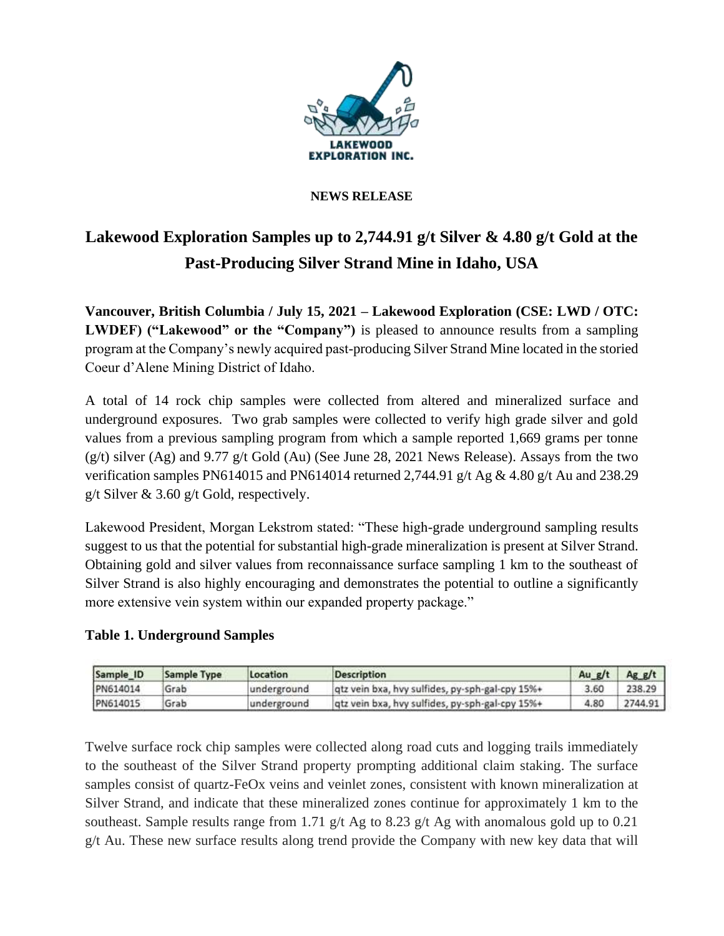

### **NEWS RELEASE**

# **Lakewood Exploration Samples up to 2,744.91 g/t Silver & 4.80 g/t Gold at the Past-Producing Silver Strand Mine in Idaho, USA**

**Vancouver, British Columbia / July 15, 2021 – Lakewood Exploration (CSE: LWD / OTC: LWDEF)** ("Lakewood" or the "Company") is pleased to announce results from a sampling program at the Company's newly acquired past-producing Silver Strand Mine located in the storied Coeur d'Alene Mining District of Idaho.

A total of 14 rock chip samples were collected from altered and mineralized surface and underground exposures. Two grab samples were collected to verify high grade silver and gold values from a previous sampling program from which a sample reported 1,669 grams per tonne  $(g/t)$  silver  $(Ag)$  and 9.77 g/t Gold  $(Au)$  (See June 28, 2021 News Release). Assays from the two verification samples PN614015 and PN614014 returned 2,744.91 g/t Ag & 4.80 g/t Au and 238.29 g/t Silver & 3.60 g/t Gold, respectively.

Lakewood President, Morgan Lekstrom stated: "These high-grade underground sampling results suggest to us that the potential for substantial high-grade mineralization is present at Silver Strand. Obtaining gold and silver values from reconnaissance surface sampling 1 km to the southeast of Silver Strand is also highly encouraging and demonstrates the potential to outline a significantly more extensive vein system within our expanded property package."

### **Table 1. Underground Samples**

| Sample ID | Sample Type | Location    | <b>Description</b>                              | Au $g/t$ | Agg/t   |
|-----------|-------------|-------------|-------------------------------------------------|----------|---------|
| PN614014  | Grab        | underground | qtz vein bxa, hvy sulfides, py-sph-gal-cpy 15%+ | 3.60     | 238.29  |
| PN614015  | Grab        | underground | qtz vein bxa, hvy sulfides, py-sph-gal-cpy 15%+ | 4.80     | 2744.91 |

Twelve surface rock chip samples were collected along road cuts and logging trails immediately to the southeast of the Silver Strand property prompting additional claim staking. The surface samples consist of quartz-FeOx veins and veinlet zones, consistent with known mineralization at Silver Strand, and indicate that these mineralized zones continue for approximately 1 km to the southeast. Sample results range from 1.71 g/t Ag to 8.23 g/t Ag with anomalous gold up to 0.21 g/t Au. These new surface results along trend provide the Company with new key data that will